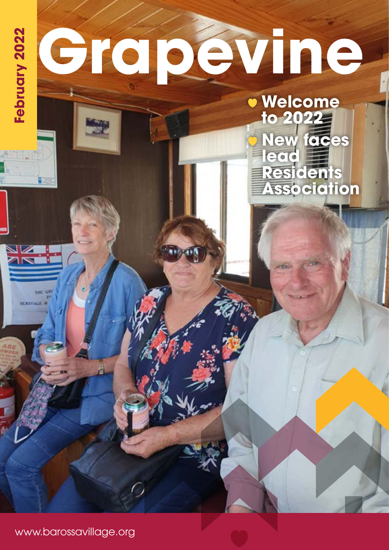## **FEBRUARY 2022 Welcome to 2022 New faces lead Residents Association** ◢ weight GS **BEAUTISTER**

www.barossavillage.org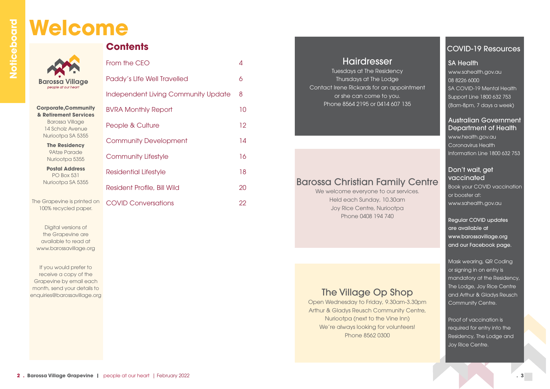#### Hairdresser

Tuesdays at The Residency Thursdays at The Lodge Contact Irene Rickards for an appointment or she can come to you. Phone 8564 2195 or 0414 607 135

We welcome everyone to our services. Held each Sunday, 10.30am Joy Rice Centre, Nuriootpa Phone 0408 194 740

#### Barossa Christian Family Centre

#### COVID-19 Resources

SA Health www.sahealth.gov.au 08 8226 6000 SA COVID-19 Mental Health Support Line 1800 632 753 (8am-8pm, 7 days a week)

Proof of vaccination is required for entry into the Residency, The Lodge and Joy Rice Centre.

#### Australian Government Department of Health

www.health.gov.au Coronavirus Health Information Line 1800 632 753

#### Don't wait, get vaccinated

Book your COVID vaccination or booster at: www.sahealth.gov.au

Regular COVID updates are available at www.barossavillage.org and our Facebook page.

Mask wearing, QR Coding or signing in on entry is mandatory at the Residency, The Lodge, Joy Rice Centre and Arthur & Gladys Reusch Community Centre.

## **Welcome**

**Barossa Village** people at our hear

| <b>Corporate, Community</b> |  |
|-----------------------------|--|
| & Retirement Services       |  |
| <b>Barossa Village</b>      |  |
| 14 Scholz Avenue            |  |
| Nuriootpa SA 5355           |  |
|                             |  |

**The Residency** 9Atze Parade Nuriootpa 5355

**Postal Address** PO Box 531 Nuriootpa SA 5355

The Grapevine is printed on 100% recycled paper.

Digital versions of the Grapevine are available to read at www.barossavillage.org

If you would prefer to receive a copy of the Grapevine by email each month, send your details to enquiries@barossavillage.org

| <b>Contents</b> |
|-----------------|
|-----------------|

| From the CEO                               | 4               |
|--------------------------------------------|-----------------|
| Paddy's Life Well Travelled                | 6               |
| <b>Independent Living Community Update</b> | 8               |
| <b>BVRA Monthly Report</b>                 | 10              |
| People & Culture                           | 12 <sup>°</sup> |
| <b>Community Development</b>               | 14              |
| <b>Community Lifestyle</b>                 | 16              |
| Residential Lifestyle                      | 18              |
| Resident Profile, Bill Wild                | 20              |
| <b>COVID Conversations</b>                 | 22              |

#### The Village Op Shop

Open Wednesday to Friday, 9.30am-3.30pm Arthur & Gladys Reusch Community Centre, Nuriootpa (next to the Vine Inn) We're always looking for volunteers! Phone 8562 0300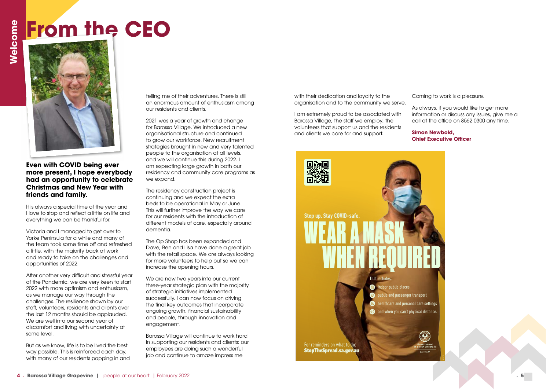**Even with COVID being ever more present, I hope everybody had an opportunity to celebrate Christmas and New Year with friends and family.** 

It is always a special time of the year and I love to stop and reflect a little on life and everything we can be thankful for.

Victoria and I managed to get over to Yorke Peninsula for a while and many of the team took some time off and refreshed a little, with the majority back at work and ready to take on the challenges and opportunities of 2022.

After another very difficult and stressful year of the Pandemic, we are very keen to start 2022 with more optimism and enthusiasm, as we manage our way through the challenges. The resilience shown by our staff, volunteers, residents and clients over the last 12 months should be applauded. We are well into our second year of discomfort and living with uncertainty at some level.

But as we know, life is to be lived the best way possible. This is reinforced each day, with many of our residents popping in and telling me of their adventures. There is still an enormous amount of enthusiasm among our residents and clients.

We are now two years into our current three-year strategic plan with the majority of strategic initiatives implemented successfully. I can now focus on driving the final key outcomes that incorporate ongoing growth, financial sustainability and people, through innovation and engagement.

2021 was a year of growth and change for Barossa Village. We introduced a new organisational structure and continued to grow our workforce. New recruitment strategies brought in new and very talented people to the organisation at all levels, and we will continue this during 2022. I am expecting large growth in both our residency and community care programs as we expand.

The residency construction project is continuing and we expect the extra beds to be operational in May or June. This will further improve the way we care for our residents with the introduction of different models of care, especially around dementia.

The Op Shop has been expanded and Dave, Ben and Lisa have done a great job with the retail space. We are always looking for more volunteers to help out so we can increase the opening hours.

Barossa Village will continue to work hard in supporting our residents and clients; our employees are doing such a wonderful job and continue to amaze impress me



with their dedication and loyalty to the organisation and to the community we serve.

I am extremely proud to be associated with Barossa Village, the staff we employ, the volunteers that support us and the residents and clients we care for and support.

Coming to work is a pleasure.

As always, if you would like to get more information or discuss any issues, give me a call at the office on 8562 0300 any time.

#### **Simon Newbold, Chief Executive Officer**

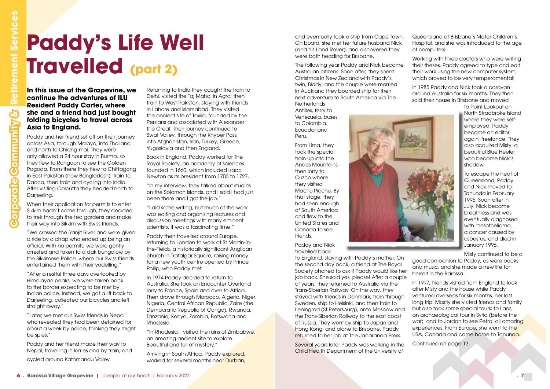Paddy and her friend set off on their journey across Asia, through Malaya, into Thailand and north to Chiang-mai. They were only allowed a 24 hour stay in Burma, so they flew to Rangoon to see the Golden Pagoda. From there they flew to Chittagong in East Pakistan (now Bangladesh), train to Dacca, then train and cycling into India. After visiting Calcutta they headed north to Darieeling.

#### **In this issue of the Grapevine, we continue the adventures of ILU Resident Paddy Carter, where she and a friend had just bought folding bicycles to travel across Asia to England.**

"We crossed the Ranjit River and were given a ride by a chap who ended up being an official. With no permits, we were gently arrested and taken to a dak bungalow by the Sikkimese Police, where our Swiss friends entertained them with their yodelling."

"After a restful three days overlooked by Himalayan peaks, we were taken back to the border expecting to be met by Indian police. Instead, we got a lift back to Darjeeling, collected our bicycles and left straight away."

When their application for permits to enter Sikkim hadn't come through, they decided to trek through the tea gardens and make their way into Sikkim with Swiss friends.

"Later, we met our Swiss friends in Nepal who revealed they had been detained for about a week by police, thinking they might be spies."

Paddy and her friend made their way to Nepal, travelling in lorries and by train, and cycled around Kathmandu Valley.

Arriving in South Africa, Paddy explored, worked for several months near Durban,

# **Corporate Community Corporate Community Community Constant Community Constant Paddy Corporate Constant Paddy Corporate Community Services of the Constant Services of the Constant Services Asia, through Malays, the Inc. Co Travelled (part 2)**

The following year Paddy and Nick became Australian citizens. Soon after, they spent Christmas in New Zealand with Paddy's twin, Biddy, and the couple were married. In Auckland they boarded ship for their next adventure to South America via The **Netherlands** 

Returning to India they caught the train to Delhi, visited the Taj Mahal in Agra, then train to West Pakistan, staying with friends in Lahore and Islamabad. They visited the ancient site of Taxila, founded by the Persians and associated with Alexander the Great. Their journey continued to Swat Valley, through the Khyber Pass, into Afghanistan, Iran, Turkey, Greece, Yugoslavia and then England.

Back in England, Paddy worked for The Royal Society, an academy of sciences founded in 1660, which included Isaac Newton as its president from 1703 to 1727.

"In my interview, they talked about studies on the Solomon Islands, and I said I had just been there and I got the job."

"I did some writing, but much of the work was editing and organising lectures and discussion meetings with many eminent scientists. It was a fascinating time."

Paddy then travelled around Europe, returning to London to work at St Martin-inthe-Fields, a historically significant Anglican church in Trafalgar Square, raising money for a new youth centre opened by Prince Philip, who Paddy met.

In 1974 Paddy decided to return to Australia. She took an Encounter Overland lorry to France, Spain and over to Africa. Then drove through Morocco, Algeria, Niger, Nigeria, Central African Republic, Zaire (the Democratic Republic of Congo), Rwanda, Tanzania, Kenya, Zambia, Botswana and Rhodesia.

"In Rhodesia, I visited the ruins of Zimbabwe, an amazing ancient site to explore. Beautiful and full of mystery."

and eventually took a ship from Cape Town. On board, she met her future husband Nick (and his Land Rover), and discovered they were both heading for Brisbane.

Antilles, ferry to Venezuela, buses to Colombia, Ecuador and Peru.

From Lima, they took the special train up into the Andes Mountains, then lorry to Cuzco where they visited Machu Picchu. By that stage, they had seen enough of South America and flew to the United States and Canada to see friends.

Paddy and Nick travelled back

to England, staying with Paddy's mother. On the second day back, a friend at The Royal Society phoned to ask if Paddy would like her job back. She said yes, please! After a couple of years, they returned to Australia via the Trans-Siberian Railway. On the way, they stayed with friends in Denmark, train through Sweden, ship to Helsinki, and then train to Leningrad (St Petersburg), onto Moscow and the Trans-Siberian Railway to the east coast of Russia. They went by ship to Japan and Hong Kong, and plane to Brisbane. Paddy returned to her job at The Jacaranda Press.

Several years later Paddy was working in the Child Health Department of the University of



Queensland at Brisbane's Mater Children's Hospital, and she was introduced to the age of computers.

Working with three doctors who were writing their theses, Paddy agreed to type and edit their work using the new computer system, which proved to be very temperamental!

In 1985 Paddy and Nick took a caravan around Australia for six months. They then sold their house in Brisbane and moved

> to Point Lookout on North Stradbroke Island where they were selfemployed. Paddy became an editor again, freelance. They also acquired Misty, a beautiful Blue Heeler who became Nick's shadow.

To escape the heat of Queensland, Paddy and Nick moved to Tanunda in February 1995. Soon after in July, Nick became breathless and was eventually diagnosed with mesothelioma, a cancer caused by asbestos, and died in January 1996.

Misty continued to be a good companion to Paddy, as were books and music, and she made a new life for herself in the Barossa.

In 1997, friends visited from England to look after Misty and the house while Paddy ventured overseas for six months, her last long trip. Mostly she visited friends and family but also took some special tours: to Laos, an archaeological tour in Syria (before the war), and to Jordan to see Petra, all amazing experiences. From Europe, she went to the USA, Canada and came home to Tanunda.

Continued on page 13.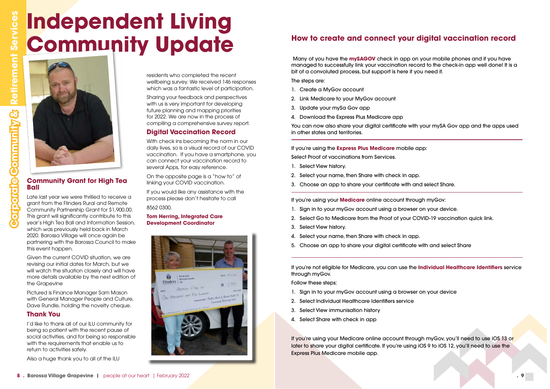#### **Community Grant for High Tea Ball**

Late last year we were thrilled to receive a grant from the Flinders Rural and Remote Community Partnership Grant for \$1,900.00. This grant will significantly contribute to this year's High Tea Ball and Information Session, which was previously held back in March 2020. Barossa Village will once again be partnering with the Barossa Council to make this event happen.

Given the current COVID situation, we are revising our initial dates for March, but we will watch the situation closely and will have more details available by the next edition of the Grapevine

Pictured is Finance Manager Sam Mason with General Manager People and Culture, Dave Rundle, holding the novelty cheque.

#### **Thank You**

I'd like to thank all of our ILU community for being so patient with the recent pause of social activities, and for being so responsible with the requirements that enable us to return to activities safely.

Also a huge thank you to all of the ILU

residents who completed the recent wellbeing survey. We received 146 responses which was a fantastic level of participation.

> You can now also share your digital certificate with your mySA Gov app and the apps used in other states and territories.

Sharing your feedback and perspectives with us is very important for developing future planning and mapping priorities for 2022. We are now in the process of compiling a comprehensive survey report.

#### **Digital Vaccination Record**

With check ins becoming the norm in our daily lives, so is a visual record of our COVID vaccination. If you have a smartphone, you can connect your vaccination record to several Apps, for easy reference.

On the opposite page is a "how to" of linking your COVID vaccination.

If you would like any assistance with the process please don't hesitate to call

#### 8562 0300.

If you're using your Medicare online account through myGov, you'll need to use iOS 13 or later to share your digital certificate. If you're using iOS 9 to iOS 12, you'll need to use the Express Plus Medicare mobile app.

## **Independent Living Community Update How to create and connect your digital vaccination record**



#### **Tom Herring, Integrated Care Development Coordinator**



**Corporate Community &** 

etpiccros

**Sommunity&** 

 **Retirement Services**

**Retirement Services** 

Many of you have the **mySAGOV** check in app on your mobile phones and if you have managed to successfully link your vaccination record to the check-in app well done! It is a bit of a convoluted process, but support is here if you need it.

The steps are:

- 1. Create a MyGov account
- 2. Link Medicare to your MyGov account
- 3. Update your mySa Gov app
- 4. Download the Express Plus Medicare app

If you're using the **Express Plus Medicare** mobile app: Select Proof of vaccinations from Services.

- 1. Select View history.
- 2. Select your name, then Share with check in app.
- 3. Choose an app to share your certificate with and select Share.

If you're using your **Medicare** online account through myGov:

- 1. Sign in to your myGov account using a browser on your device.
- 2. Select Go to Medicare from the Proof of your COVID-19 vaccination quick link.
- 3. Select View history.
- 4. Select your name, then Share with check in app.
- 5. Choose an app to share your digital certificate with and select Share

If you're not eligible for Medicare, you can use the **Individual Healthcare Identifiers** service through myGov.

Follow these steps:

- 1. Sign in to your myGov account using a browser on your device
- 2. Select Individual Healthcare Identifiers service
- 3. Select View immunisation history
- 4. Select Share with check in app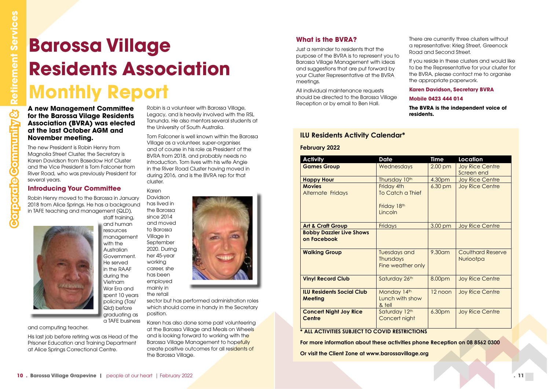**A new Management Committee for the Barossa Vilage Residents Association (BVRA) was elected at the last October AGM and November meeting.**

The new President is Robin Henry from Magnolia Street Cluster, the Secretary is Karen Davidson from Basedow Hof Cluster and the Vice President is Tom Falconer from River Road, who was previously President for several years.

#### **Introducing Your Committee**

Robin Henry moved to the Barossa in January 2018 from Alice Springs. He has a background in TAFE teaching and management (QLD),



staff training, and human resources management with the **Australian** Government. He served in the RAAF during the Vietnam War Era and spent 10 years policing (Tas/ Qld) before graduating as a TAFE business

and computing teacher.

His last job before retiring was as Head of the Prisoner Education and Training Department at Alice Springs Correctional Centre.

Robin is a volunteer with Barossa Village, Legacy, and is heavily involved with the RSL Tanunda. He also mentors several students at the University of South Australia.

Tom Falconer is well known within the Barossa Village as a volunteer, super-organiser, and of course in his role as President of the BVRA from 2018, and probably needs no introduction. Tom lives with his wife Angie in the River Road Cluster having moved in during 2016, and is the BVRA rep for that cluster.

Karen Davidson has lived in the Barossa since 2014 and moved to Barossa Village in September 2020. During her 45-year working career, she has been employed mainly in the retail



sector but has performed administration roles which should come in handy in the Secretary position.

Karen has also done some past volunteering at the Barossa Village and Meals on Wheels and is looking forward to working with the Barossa Village Management to hopefully create positive outcomes for all residents of the Barossa Village.

## **Barossa Village Residents Association Monthly Report**

#### **ILU Residents Activity Calendar\***

#### **February 2022**

| <b>Activity</b>                                    | <b>Date</b>                                                  | <b>Time</b> | Location                              |
|----------------------------------------------------|--------------------------------------------------------------|-------------|---------------------------------------|
| <b>Games Group</b>                                 | Wednesdays                                                   | $2.00$ pm   | <b>Joy Rice Centre</b><br>Screen end  |
| <b>Happy Hour</b>                                  | Thursday 10th                                                | 4.30pm      | <b>Joy Rice Centre</b>                |
| <b>Movies</b><br><b>Alternate Fridays</b>          | Friday 4th<br>To Catch a Thief<br>Friday 18th<br>Lincoln     | 6.30 pm     | <b>Joy Rice Centre</b>                |
| <b>Art &amp; Craft Group</b>                       | Fridays                                                      | 3.00 pm     | <b>Joy Rice Centre</b>                |
| <b>Bobby Dazzler Live Shows</b><br>on Facebook     |                                                              |             |                                       |
| <b>Walking Group</b>                               | <b>Tuesdays and</b><br><b>Thursdays</b><br>Fine weather only | 9.30am      | <b>Coulthard Reserve</b><br>Nuriootpa |
| <b>Vinyl Record Club</b>                           | Saturday 26th                                                | 8.00pm      | <b>Joy Rice Centre</b>                |
| <b>ILU Residents Social Club</b><br><b>Meeting</b> | Monday 14th<br>Lunch with show<br>& tell                     | 12 noon     | <b>Joy Rice Centre</b>                |
| <b>Concert Night Joy Rice</b><br><b>Centre</b>     | Saturday 12th<br>Concert night                               | 6.30pm      | <b>Joy Rice Centre</b>                |

**For more information about these activities phone Reception on 08 8562 0300**

**Or visit the Client Zone at www.barossavillage.org**

#### **What is the BVRA?**

Just a reminder to residents that the purpose of the BVRA is to represent you to Barossa Village Management with ideas and suggestions that are put forward by your Cluster Representative at the BVRA meetings.

All individual maintenance requests should be directed to the Barossa Village Reception or by email to Ben Hall.

There are currently three clusters without a representative: Krieg Street, Greenock Road and Second Street.

If you reside in these clusters and would like to be the Representative for your cluster for the BVRA, please contact me to organise the appropriate paperwork.

#### **Karen Davidson, Secretary BVRA**

#### **Mobile 0423 444 014**

**The BVRA is the independent voice of residents.**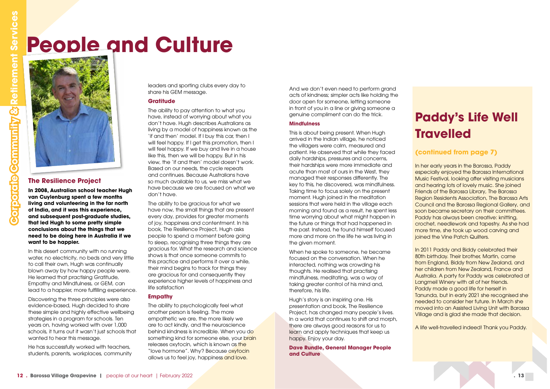And we don't even need to perform grand acts of kindness; simpler acts like holding the door open for someone, letting someone in front of you in a line or giving someone a genuine compliment can do the trick.

#### **Mindfulness**

This is about being present. When Hugh arrived in the Indian village, he noticed the villagers were calm, measured and patient. He observed that while they faced daily hardships, pressures and concerns, their hardships were more immediate and acute than most of ours in the West, they managed their responses differently. The key to this, he discovered, was mindfulness. Taking time to focus solely on the present moment. Hugh joined in the meditation sessions that were held in the village each morning and found as a result, he spent less time worrying about what might happen in the future or things that had happened in the past. Instead, he found himself focused more and more on the life he was living in the given moment.

When he spoke to someone, he became focused on the conversation. When he interacted, nothing was crowding his thoughts. He realised that practising mindfulness, meditating, was a way of taking greater control of his mind and, therefore, his life.

Hugh's story is an inspiring one. His presentation and book, The Resilience Project, has changed many people's lives. In a world that continues to shift and morph, there are always good reasons for us to learn and apply techniques that keep us happy. Enjoy your day.

**Dave Rundle, General Manager People and Culture**

 **. 13** 

#### **The Resilience Project**

**In 2008, Australian school teacher Hugh van Cuylenburg spent a few months living and volunteering in the far north of India, and it was this experience, and subsequent post-graduate studies, that led Hugh to some pretty simple conclusions about the things that we need to be doing here in Australia if we want to be happier.**

In this desert community with no running water, no electricity, no beds and very little to call their own, Hugh was continually blown away by how happy people were. He learned that practising Gratitude, Empathy and Mindfulness, or GEM, can lead to a happier, more fulfilling experience.

Discovering the three principles were also evidence-based, Hugh decided to share these simple and highly effective wellbeing strategies in a program for schools. Ten years on, having worked with over 1,000 schools, it turns out it wasn't just schools that wanted to hear this message.

He has successfully worked with teachers, students, parents, workplaces, community leaders and sporting clubs every day to share his GEM message.

#### **Gratitude**

The ability to pay attention to what you have, instead of worrying about what you don't have. Hugh describes Australians as living by a model of happiness known as the 'if and then' model. If I buy this car, then I will feel happy. If I get this promotion, then I will feel happy. If we buy and live in a house like this, then we will be happy. But in his view, the 'if and then' model doesn't work. Based on our needs, the cycle repeats and continues. Because Australians have so much available to us, we miss what we have because we are focused on what we don't have.

The ability to be gracious for what we have now, the small things that are present every day, provides for greater moments of joy, happiness and contentment. In his book, The Resilience Project, Hugh asks people to spend a moment before going to sleep, recognising three things they are gracious for. What the research and science shows is that once someone commits to this practice and performs it over a while, their mind begins to track for things they are gracious for and consequently they experience higher levels of happiness and life satisfaction

#### **Empathy**

The ability to psychologically feel what another person is feeling. The more empathetic we are, the more likely we are to act kindly, and the neuroscience behind kindness is incredible. When you do something kind for someone else, your brain releases oxytocin, which is known as the "love hormone". Why? Because oxytocin allows us to feel joy, happiness and love.

## **People and Culture**



#### **Paddy's Life Well Travelled**

#### **(continued from page 7)**

In her early years in the Barossa, Paddy especially enjoyed the Barossa International Music Festival, looking after visiting musicians and hearing lots of lovely music. She joined Friends of the Barossa Library, The Barossa Region Residents Association, The Barossa Arts Council and the Barossa Regional Gallery, and soon became secretary on their committees. Paddy has always been creative: knitting, crochet, needlework and tapestry. As she had more time, she took up wood carving and joined the Vine Patch Quilters.

In 2011 Paddy and Biddy celebrated their 80th birthday. Their brother, Martin, came from England, Biddy from New Zealand, and her children from New Zealand, France and Australia. A party for Paddy was celebrated at Langmeil Winery with all of her friends. Paddy made a good life for herself in Tanunda, but in early 2021 she recognised she needed to consider her future. In March she moved into an Assisted Living Unit with Barossa Village and is glad she made that decision.

A life well-travelled indeed! Thank you Paddy.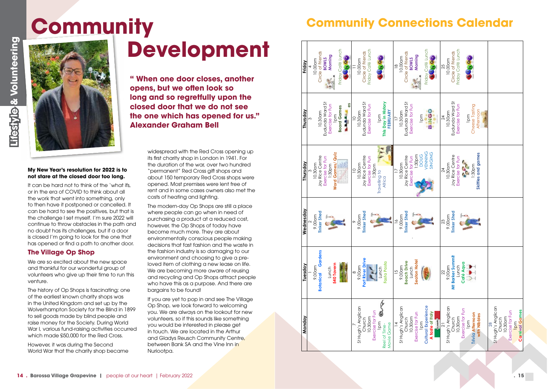

#### **My New Year's resolution for 2022 is to not stare at the closed door too long.**

It can be hard not to think of the 'what ifs, or in the era of COVID to think about all the work that went into something, only to then have it postponed or cancelled. It can be hard to see the positives, but that is the challenge I set myself. I'm sure 2022 will continue to throw obstacles in the path and no doubt has its challenges, but if a door is closed I'm going to look for the one that has opened or find a path to another door.

We are so excited about the new space and thankful for our wonderful group of volunteers who give up their time to run this venture.

#### **The Village Op Shop**

The history of Op Shops is fascinating; one of the earliest known charity shops was in the United Kingdom and set up by the Wolverhampton Society for the Blind in 1899 to sell goods made by blind people and raise money for the Society. During World War I, various fund-raising activities occurred which made £50,000 for the Red Cross.

However, it was during the Second World War that the charity shop became

widespread with the Red Cross opening up its first charity shop in London in 1941. For the duration of the war, over two hundred "permanent" Red Cross gift shops and about 150 temporary Red Cross shops were opened. Most premises were lent free of rent and in some cases owners also met the costs of heating and lighting.

The modern-day Op Shops are still a place where people can go when in need of purchasing a product at a reduced cost, however, the Op Shops of today have become much more. They are about environmentally conscious people making decisions that fast fashion and the waste in the fashion industry is so damaging to our environment and choosing to give a preloved item of clothing a new lease on life. We are becoming more aware of reusing and recycling and Op Shops attract people who have this as a purpose. And there are bargains to be found!

If you are yet to pop in and see The Village Op Shop, we look forward to welcoming you. We are always on the lookout for new volunteers, so if this sounds like something you would be interested in please get in touch. We are located in the Arthur and Gladys Reusch Community Centre, between Bank SA and the Vine Inn in Nuriootpa.

## **Community**

## **Development**

**" When one door closes, another opens, but we often look so long and so regretfully upon the closed door that we do not see the one which has opened for us." Alexander Graham Bell**

#### **Community Connections Calendar**

| Monday                                             | Tuesday                    | Wednesday                    | Thursday                            | Thursday                   | Friday                       |
|----------------------------------------------------|----------------------------|------------------------------|-------------------------------------|----------------------------|------------------------------|
|                                                    |                            |                              |                                     | 3                          |                              |
|                                                    | 9.00am                     | 9.00am                       | 10.30am                             |                            | 10.00am                      |
|                                                    | <b>Botanical Gardens</b>   | Tinker Shed                  | Joy Rice Centre                     | 10.30am                    | Circle of Friends            |
|                                                    |                            |                              | Exercise for Fun                    | Eudunda Ward St            | <b>BOWLS</b>                 |
|                                                    | 540 Tavern<br>Lunch        |                              | <b>Word Games/ Quiz</b><br>1:30pm   | Exercise for Fun           | Morning                      |
|                                                    |                            |                              |                                     | <b>Board Games</b><br>1pm  | Friday Café Lunch            |
|                                                    |                            |                              | <u>er</u>                           |                            | <b>OP</b>                    |
|                                                    |                            |                              |                                     | 6S                         |                              |
| St Hugh's Anglican                                 | 9.00am<br>$\infty$         | 9.00am<br>ᡐ                  | 10.30am<br>$\supseteq$              | 10.30am<br>$\supseteq$     | 10.00am                      |
| Church                                             | Port River Drive           | <b>Tinker Shed</b>           | Joy Rice Centre                     | Eudunda Ward St            | Circle of Friends            |
| 10.30am                                            |                            |                              | Exercise for Fun                    | Exercise for Fun           | Friday Café Lunch            |
| Exercise for Fun                                   |                            |                              | 1:30pm                              |                            |                              |
| lpm                                                | Lunch                      |                              | Travelling to                       | 1pm                        |                              |
| Reel of Time-                                      | Fasta Pasta                |                              | Africa                              | This Day in History        |                              |
| Movie Game                                         |                            |                              |                                     | FEBRUARY                   |                              |
| $\overline{4}$                                     | $\frac{5}{1}$              | $\frac{6}{1}$                |                                     |                            | $\frac{8}{10}$               |
| St Hugh's Anglican                                 | 9.00am                     | 9.00am                       | 10.30am                             | 10.30am                    | 10.00am                      |
| Church                                             | <b>Beach Drive</b>         | <b>Tinker Shed</b>           | Joy Rice Centre                     | Eudunda Ward St            | Circle of Friends            |
| Exercise for Fun<br>10.30am                        | Seaton Hotel<br>Lunch      |                              | 1:30pm<br>Exercise for Fun          | Exercise for Fun           | Morning<br><b>BOWLS</b>      |
| 1pm                                                |                            |                              | <b>DOUG</b>                         | lpm                        |                              |
| <b>Cultural Experience</b>                         |                            |                              | VENNING                             |                            | Friday Café Lunch            |
| A taste of Italy                                   |                            |                              | SINGING                             | 00<br>20<br>20             |                              |
| Û                                                  |                            |                              |                                     |                            |                              |
| $\overline{2}$                                     | 22                         | 23                           | 24                                  | $\overline{24}$            | 25                           |
| St Hugh's Anglican<br>Church                       | Mt Barker Summit<br>9.00am | <b>Tinker Shed</b><br>9.00am | 10.30am                             | Eudunda Ward St<br>10.30am | Circle of Friends<br>10.00am |
| 10.30am                                            | Lunch                      |                              | Joy Rice Centre<br>Exercise for Fun | Exercise for Fun           | Friday Café Lunch            |
| Exercise for Fun                                   | Café Aqua                  |                              | 202                                 |                            |                              |
| <b>Trivia Afternoon</b><br>$\overline{\mathsf{P}}$ |                            |                              | 1:30pm                              | Cheese Tasting<br>1pm      |                              |
| with Nibbles                                       |                            |                              | Skittles and games                  | Afternoon                  |                              |
|                                                    |                            |                              |                                     |                            |                              |
| $\infty$                                           |                            |                              |                                     |                            |                              |
| St Hugh's Anglican                                 |                            |                              |                                     |                            |                              |
| 10.30am<br>Church                                  |                            |                              |                                     |                            |                              |
| Exercise for Fun                                   |                            |                              |                                     |                            |                              |
| <b>Carnival Games</b><br>1pm                       |                            |                              |                                     |                            |                              |
|                                                    |                            |                              |                                     |                            |                              |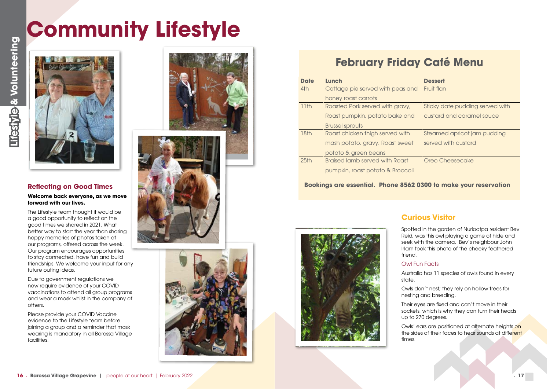<span id="page-8-0"></span>

#### **Dessert**

#### **Reflecting on Good Times**

**Welcome back everyone, as we move forward with our lives.**

The Lifestyle team thought it would be a good opportunity to reflect on the good times we shared in 2021. What better way to start the year than sharing happy memories of photos taken at our programs, offered across the week. Our program encourages opportunities to stay connected, have fun and build friendships. We welcome your input for any future outing ideas.

Due to government regulations we now require evidence of your COVID vaccinations to attend all group programs and wear a mask whilst in the company of others.

Please provide your COVID Vaccine evidence to the Lifestyle team before joining a group and a reminder that mask wearing is mandatory in all Barossa Village facilities.







#### **February Friday Café Menu**

Fruit flan

Sticky date pudding served with custard and caramel sauce

| <b>Date</b>      | Lunch                            |
|------------------|----------------------------------|
| 4th              | Cottage pie served with peas and |
|                  | honey roast carrots              |
| 11th             | Roasted Pork served with gravy,  |
|                  | Roast pumpkin, potato bake and   |
|                  | <b>Brussel sprouts</b>           |
| 18th             | Roast chicken thigh served with  |
|                  | mash potato, gravy, Roast sweet  |
|                  | potato & green beans             |
| 25 <sub>th</sub> | Braised lamb served with Roast   |
|                  | pumpkin, roast potato & Broccoli |

Steamed apricot jam pudding served with custard

Oreo Cheesecake

#### **Bookings are essential. Phone 8562 0300 to make your reservation**

Spotted in the garden of Nuriootpa resident Bev Reid, was this owl playing a game of hide and seek with the camera. Bev's neighbour John Irlam took this photo of the cheeky feathered friend.

#### Owl Fun Facts

Australia has 11 species of owls found in every

state.

Owls don't nest; they rely on hollow trees for

nesting and breeding. Their eyes are fixed and can't move in their sockets, which is why they can turn their heads up to 270 degrees.

Owls' ears are positioned at alternate heights on the sides of their faces to hear sounds at different

times.



#### **Curious Visitor**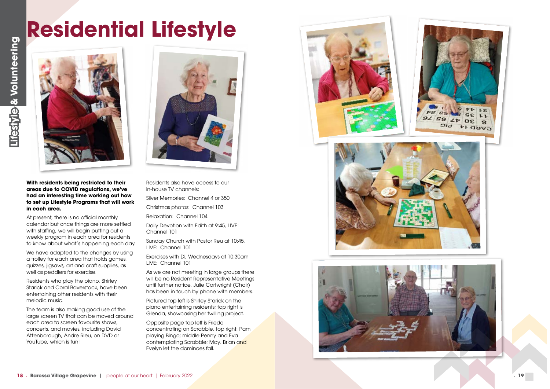**With residents being restricted to their areas due to COVID regulations, we've had an interesting time working out how to set up Lifestyle Programs that will work in each area.**

We have adapted to the changes by using a trolley for each area that holds games, quizzes, jigsaws, art and craft supplies, as well as peddlers for exercise.

At present, there is no official monthly calendar but once things are more settled with staffing, we will begin putting out a weekly program in each area for residents to know about what's happening each day.

Residents who play the piano, Shirley Starick and Coral Baverstock, have been entertaining other residents with their melodic music.

As we are not meeting in large groups there will be no Resident Representative Meetings until further notice, Julie Cartwright (Chair) has been in touch by phone with members.

The team is also making good use of the large screen TV that can be moved around each area to screen favourite shows, concerts, and movies, including David Attenborough, Andre Rieu, on DVD or YouTube, which is fun!



Residents also have access to our in-house TV channels:

Silver Memories: Channel 4 or 350

Christmas photos: Channel 103

Relaxation: Channel 104

Daily Devotion with Edith at 9:45, LIVE: Channel 101

Sunday Church with Pastor Reu at 10:45, LIVE: Channel 101

Exercises with Di, Wednesdays at 10:30am LIVE: Channel 101

Pictured top left is Shirley Starick on the piano entertaining residents; top right is Glenda, showcasing her twilling project.

Opposite page top left is Frieda concentrating on Scrabble, top right, Pam playing Bingo; middle Penny and Eva contemplating Scrabble; May, Brian and Evelyn let the dominoes fall.







## **Residential Lifestyle**

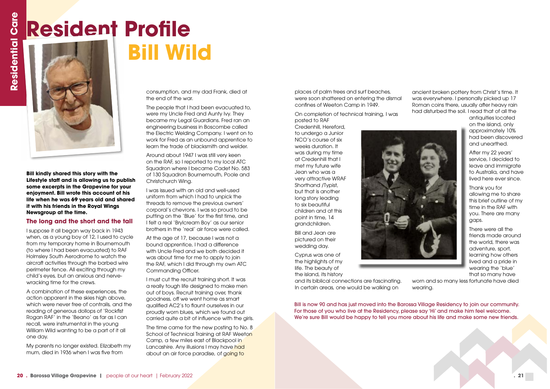**Bill kindly shared this story with the Lifestyle staff and is allowing us to publish some excerpts in the Grapevine for your enjoyment. Bill wrote this account of his life when he was 69 years old and shared it with his friends in the Royal Wings Newsgroup at the time.**

#### **The long and the short and the tall**

I suppose it all began way back in 1943 when, as a young boy of 12, I used to cycle from my temporary home in Bournemouth (to where I had been evacuated) to RAF Holmsley South Aerodrome to watch the aircraft activities through the barbed wire perimeter fence. All exciting through my child's eyes, but an anxious and nervewracking time for the crews.

A combination of these experiences, the action apparent in the skies high above, which were never free of contrails, and the reading of generous dollops of 'Rockfist Rogan RAF' in the 'Beano' as far as I can recall, were instrumental in the young William Wild wanting to be a part of it all one day.

My parents no longer existed. Elizabeth my mum, died in 1936 when I was five from

consumption, and my dad Frank, died at the end of the war.

The people that I had been evacuated to, were my Uncle Fred and Aunty Ivy. They became my Legal Guardians. Fred ran an engineering business in Boscombe called the Electric Welding Company. I went on to work for Fred as an unbound apprentice to learn the trade of blacksmith and welder.

Around about 1947 I was still very keen on the RAF, so I reported to my local ATC Squadron where I became Cadet No. 583 of 130 Squadron Bournemouth, Poole and Christchurch Wing.

I was issued with an old and well-used uniform from which I had to unpick the threads to remove the previous owners' corporal's chevrons. I was so proud to be putting on the 'Blue' for the first time, and I felt a real 'Brylcream Boy' as our senior brothers in the 'real' air force were called.

At the age of 17, because I was not a bound apprentice, I had a difference with Uncle Fred and we both decided it was about time for me to apply to join the RAF, which I did through my own ATC Commanding Officer.

## **Resident Profile<br>
<b>Resident Profile**<br> **Bill Wi**<br> **Resident Profile Bill Wild**



I must cut the recruit training short. It was a really tough life designed to make men out of boys. Recruit training over, thank goodness, off we went home as smart qualified AC2's to flaunt ourselves in our proudly worn blues, which we found out carried quite a bit of influence with the girls.

The time came for the new posting to No. 8 School of Technical Training at RAF Weeton Camp, a few miles east of Blackpool in Lancashire. Any illusions I may have had about an air force paradise, of going to

places of palm trees and surf beaches, were soon shattered on entering the dismal confines of Weeton Camp in 1949.

On completion of technical training, I was posted to RAF

Credenhill, Hereford, to undergo a Junior NCO's course of six weeks duration. It was during my time at Credenhill that I met my future wife Jean who was a very attractive WRAF Shorthand /Typist, but that is another long story leading to six beautiful children and at this point in time, 14 grandchildren.

Bill and Jean are pictured on their wedding day.

Cyprus was one of the highlights of my life. The beauty of the island, its history

and its biblical connections are fascinating. In certain areas, one would be walking on

ancient broken pottery from Christ's time. It was everywhere. I personally picked up 17 Roman coins there, usually after heavy rain had disturbed the soil. I read that of all the



antiquities located on the island, only approximately 10% had been discovered and unearthed.

After my 22 years' service, I decided to leave and immigrate to Australia, and have lived here ever since.

Thank you for allowing me to share this brief outline of my time in the RAF with you. There are many gaps.

There were all the friends made around the world, there was adventure, sport, learning how others lived and a pride in wearing the 'blue' that so many have

worn and so many less fortunate have died wearing.

Bill is now 90 and has just moved into the Barossa Village Residency to join our community. For those of you who live at the Residency, please say 'Hi' and make him feel welcome. We're sure Bill would be happy to tell you more about his life and make some new friends.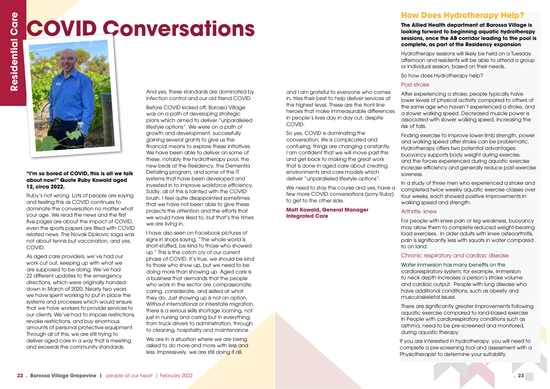#### **"I'm so bored of COVID, this is all we talk about now!" Quote Ruby Kowald aged 12, circa 2022.**

Ruby's not wrong. Lots of people are saying and feeling this as COVID continues to dominate the conversation no matter what your age. We read the news and the first five pages are about the impact of COVID, even the sports papers are filled with COVID related news. The Novak Djokovic saga was not about tennis but vaccination, and yes, COVID.

As aged care providers, we've had our work cut out, keeping up with what we are supposed to be doing. We've had 22 different updates to the emergency directions, which were originally handed down in March of 2020. Nearly two years we have spent working to put in place the systems and processes which would ensure that we have workers to provide services to our clients. We've had to impose restrictions, revoke restrictions, and buy enormous amounts of personal protective equipment. Through all of this, we are still trying to deliver aged care in a way that is meeting and exceeds the community standards.

And yes, these standards are dominated by infection control and our old friend COVID.

Before COVID kicked off, Barossa Village was on a path of developing strategic plans which aimed to deliver "unparalleled lifestyle options". We were on a path of growth and development, successfully gaining several grants to give us the financial means to explore these initiatives. We have been able to deliver on some of these, notably the hydrotherapy pool, the new beds at the Residency, the Dementia Detailing program, and some of the IT systems that have been developed and invested in to improve workforce efficiency. Sadly, all of this is tainted with the COVID brush. I feel quite disappointed sometimes that we have not been able to give these projects the attention and the efforts that we would have liked to, but that's the times we are living in.

We need to stay the course and yes, have a few more COVID conversations (sorry Ruby) to get to the other side.

I have also seen on Facebook pictures of signs in shops saying, "The whole world is short-staffed, be kind to those who showed up." This is the catch cry of our current phase of COVID. It's true, we should be kind to those who show up, but we need to be doing more than showing up. Aged care is a business that demands that the people who work in the sector are compassionate, caring, considerate, and skilled at what they do. Just showing up is not an option. Without international or interstate migration, there is a serious skills shortage looming, not just in nursing and caring but in everything, from truck drivers to administration, through to cleaning, hospitality and maintenance.

We are in a situation where we are being asked to do more and more with less and less. Impressively, we are still doing it all,

and I am grateful to everyone who comes in, tries their best to help deliver services at the highest level. These are the front line heroes that make immeasurable differences in people's lives day in day out, despite COVID.

So yes, COVID is dominating the conversation, life is complicated and confusing; things are changing constantly. I am confident that we will move past this and get back to making the great work that is done in aged care about creating environments and care models which deliver "unparalleled lifestyle options".

#### **Matt Kowald, General Manager Integrated Care**

#### **How Does Hydrotherapy Help?**

## *COVID Conversations*<br> **Example 2**<br> **Example 2**

**The Allied Health department at Barossa Village is looking forward to beginning aquatic hydrotherapy sessions, once the AB corridor leading to the pool is complete, as part of the Residency expansion**.

Hydrotherapy sessions will likely be held on a Tuesday afternoon and residents will be able to attend a group or individual session, based on their needs.

So how does Hydrotherapy help?

#### Post-stroke

After experiencing a stroke, people typically have lower levels of physical activity compared to others of the same age who haven't experienced a stroke, and a slower walking speed. Decreased muscle power is associated with slower walking speed, increasing the risk of falls.

Finding exercise to improve lower limb strength, power and walking speed after stroke can be problematic. Hydrotherapy offers two potential advantages: buoyancy supports body weight during exercise, and the forces experienced during aquatic exercise increase efficiency and generally reduce post-exercise soreness.

In a study of three men who experienced a stroke and completed twice weekly aquatic exercise classes over four weeks, each showed positive improvements in walking speed and strength.

#### Arthritis- knee

For people with knee pain or leg weakness, buoyancy may allow them to complete reduced weight-bearing load exercises. In older adults with knee osteoarthritis, pain is significantly less with squats in water compared

to on land.

#### Chronic respiratory and cardiac disease

Water immersion has many benefits on the cardiorespiratory system; for example, immersion to neck depth increases a person's stroke volume and cardiac output. People with lung disease who have additional conditions, such as obesity and musculoskeletal issues.

There are significantly greater improvements following aquatic exercise compared to land-based exercise in People with cardiorespiratory conditions such as asthma, need to be pre-screened and monitored, during aquatic therapy

If you are interested in hydrotherapy, you will need to complete a pre-screening tool and assessment with a Physiotherapist to determine your suitability.